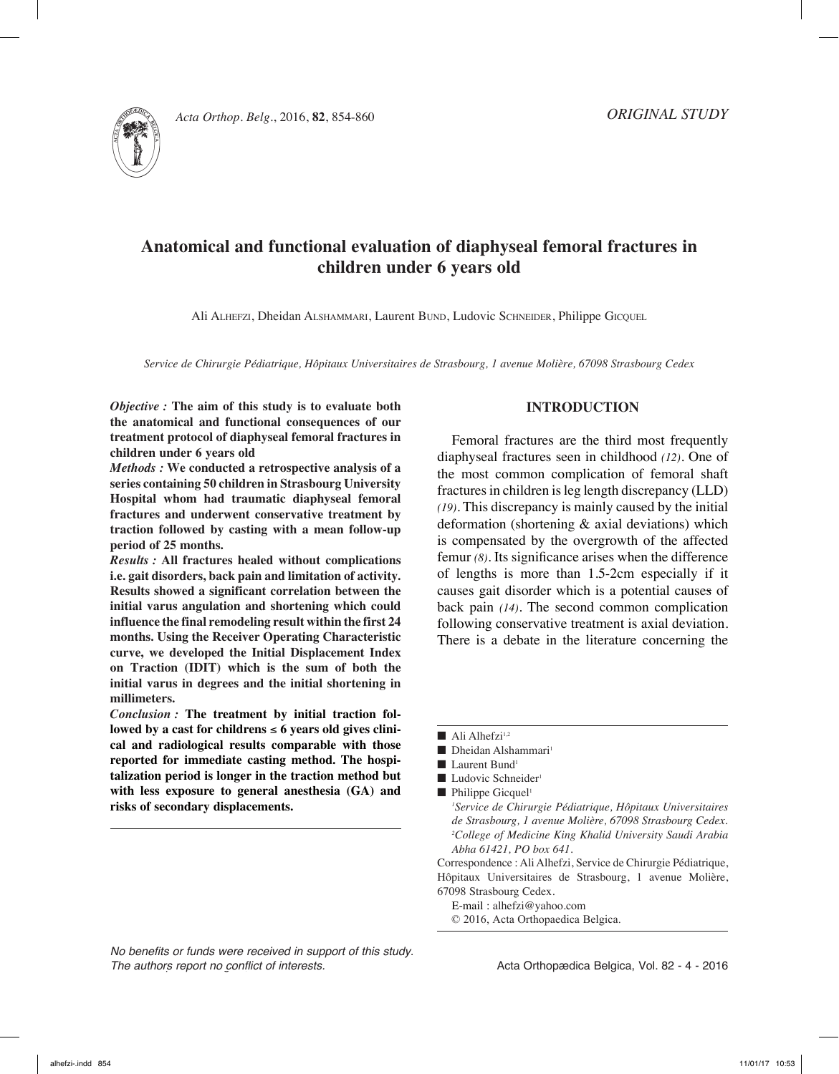

Acta Orthop. Belg., 2016, **82**, 854-860

# **Anatomical and functional evaluation of diaphyseal femoral fractures in children under 6 years old**

Ali Alhefzi, Dheidan Alshammari, Laurent Bund, Ludovic Schneider, Philippe Gicquel

*Service de Chirurgie Pédiatrique, Hôpitaux Universitaires de Strasbourg, 1 avenue Molière, 67098 Strasbourg Cedex*

*Objective :* **The aim of this study is to evaluate both the anatomical and functional consequences of our treatment protocol of diaphyseal femoral fractures in children under 6 years old**

*Methods :* **We conducted a retrospective analysis of a series containing 50 children in Strasbourg University Hospital whom had traumatic diaphyseal femoral fractures and underwent conservative treatment by traction followed by casting with a mean follow-up period of 25 months.** 

*Results :* **All fractures healed without complications i.e. gait disorders, back pain and limitation of activity. Results showed a significant correlation between the initial varus angulation and shortening which could influence the final remodeling result within the first 24 months. Using the Receiver Operating Characteristic curve, we developed the Initial Displacement Index on Traction (IDIT) which is the sum of both the initial varus in degrees and the initial shortening in millimeters.** 

*Conclusion :* **The treatment by initial traction fol**lowed by a cast for childrens  $\leq 6$  years old gives clini**cal and radiological results comparable with those reported for immediate casting method. The hospitalization period is longer in the traction method but with less exposure to general anesthesia (GA) and risks of secondary displacements.** 

*No benefits or funds were received in support of this study. The authors report no conflict of interests.* 

# **Introduction**

Femoral fractures are the third most frequently diaphyseal fractures seen in childhood *(12)*. One of the most common complication of femoral shaft fractures in children is leg length discrepancy (LLD) *(19)*. This discrepancy is mainly caused by the initial deformation (shortening & axial deviations) which is compensated by the overgrowth of the affected femur *(8)*. Its significance arises when the difference of lengths is more than 1.5-2cm especially if it causes gait disorder which is a potential causes of back pain *(14)*. The second common complication following conservative treatment is axial deviation. There is a debate in the literature concerning the

 $\blacksquare$  Ali Alhefzi<sup>1,2</sup>

- $\blacksquare$  Dheidan Alshammari<sup>1</sup>
- Laurent Bund<sup>1</sup>
- Ludovic Schneider<sup>1</sup>
- $\blacksquare$  Philippe Gicquel<sup>1</sup>

*1 Service de Chirurgie Pédiatrique, Hôpitaux Universitaires de Strasbourg, 1 avenue Molière, 67098 Strasbourg Cedex. 2 College of Medicine King Khalid University Saudi Arabia Abha 61421, PO box 641.*

Correspondence : Ali Alhefzi, Service de Chirurgie Pédiatrique, Hôpitaux Universitaires de Strasbourg, 1 avenue Molière, 67098 Strasbourg Cedex.

E-mail : alhefzi@yahoo.com © 2016, Acta Orthopaedica Belgica.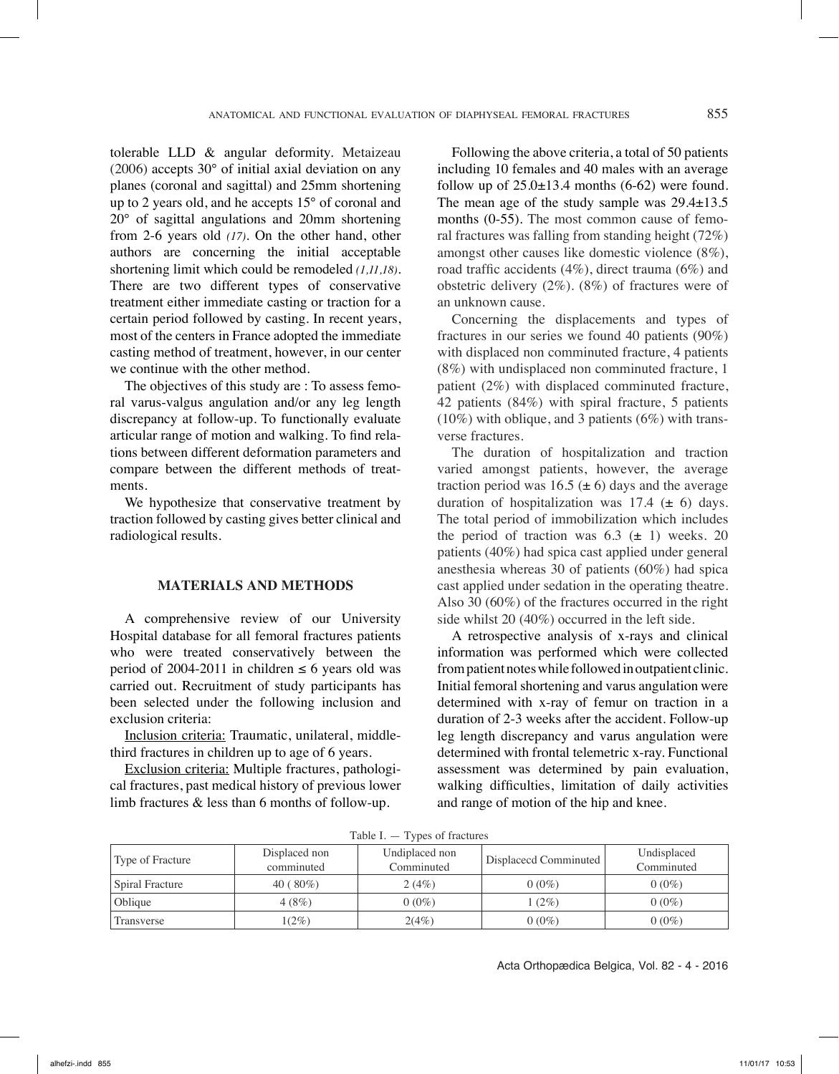tolerable LLD & angular deformity. Metaizeau (2006) accepts 30° of initial axial deviation on any planes (coronal and sagittal) and 25mm shortening up to 2 years old, and he accepts 15° of coronal and 20° of sagittal angulations and 20mm shortening from 2-6 years old *(17)*. On the other hand, other authors are concerning the initial acceptable shortening limit which could be remodeled *(1,11,18)*. There are two different types of conservative treatment either immediate casting or traction for a certain period followed by casting. In recent years, most of the centers in France adopted the immediate casting method of treatment, however, in our center we continue with the other method.

The objectives of this study are : To assess femoral varus-valgus angulation and/or any leg length discrepancy at follow-up. To functionally evaluate articular range of motion and walking. To find relations between different deformation parameters and compare between the different methods of treatments.

We hypothesize that conservative treatment by traction followed by casting gives better clinical and radiological results.

## **Materials and Methods**

A comprehensive review of our University Hospital database for all femoral fractures patients who were treated conservatively between the period of 2004-2011 in children  $\leq 6$  years old was carried out. Recruitment of study participants has been selected under the following inclusion and exclusion criteria:

Inclusion criteria: Traumatic, unilateral, middlethird fractures in children up to age of 6 years.

Exclusion criteria: Multiple fractures, pathological fractures, past medical history of previous lower limb fractures & less than 6 months of follow-up.

Following the above criteria, a total of 50 patients including 10 females and 40 males with an average follow up of  $25.0\pm13.4$  months (6-62) were found. The mean age of the study sample was 29.4±13.5 months (0-55). The most common cause of femoral fractures was falling from standing height (72%) amongst other causes like domestic violence (8%), road traffic accidents (4%), direct trauma (6%) and obstetric delivery (2%). (8%) of fractures were of an unknown cause.

Concerning the displacements and types of fractures in our series we found 40 patients (90%) with displaced non comminuted fracture, 4 patients (8%) with undisplaced non comminuted fracture, 1 patient (2%) with displaced comminuted fracture, 42 patients (84%) with spiral fracture, 5 patients (10%) with oblique, and 3 patients (6%) with transverse fractures.

The duration of hospitalization and traction varied amongst patients, however, the average traction period was 16.5 ( $\pm$  6) days and the average duration of hospitalization was  $17.4 \ (\pm 6)$  days. The total period of immobilization which includes the period of traction was  $6.3 \left(\pm 1\right)$  weeks. 20 patients (40%) had spica cast applied under general anesthesia whereas 30 of patients (60%) had spica cast applied under sedation in the operating theatre. Also 30 (60%) of the fractures occurred in the right side whilst 20 (40%) occurred in the left side.

A retrospective analysis of x-rays and clinical information was performed which were collected from patient notes while followed in outpatient clinic. Initial femoral shortening and varus angulation were determined with x-ray of femur on traction in a duration of 2-3 weeks after the accident. Follow-up leg length discrepancy and varus angulation were determined with frontal telemetric x-ray. Functional assessment was determined by pain evaluation, walking difficulties, limitation of daily activities and range of motion of the hip and knee.

| 100101<br>I y pos or fractures |                             |                              |                       |                           |  |
|--------------------------------|-----------------------------|------------------------------|-----------------------|---------------------------|--|
| Type of Fracture               | Displaced non<br>comminuted | Undiplaced non<br>Comminuted | Displacecd Comminuted | Undisplaced<br>Comminuted |  |
| Spiral Fracture                | $40(80\%)$                  | 2(4%)                        | $0(0\%)$              | $0(0\%)$                  |  |
| Oblique                        | 4(8%)                       | $0(0\%)$                     | $(2\%)$               | $0(0\%)$                  |  |
| Transverse                     | $1(2\%)$                    | 2(4%)                        | $0(0\%)$              | $0(0\%)$                  |  |

 $Table I. = Types of fractions$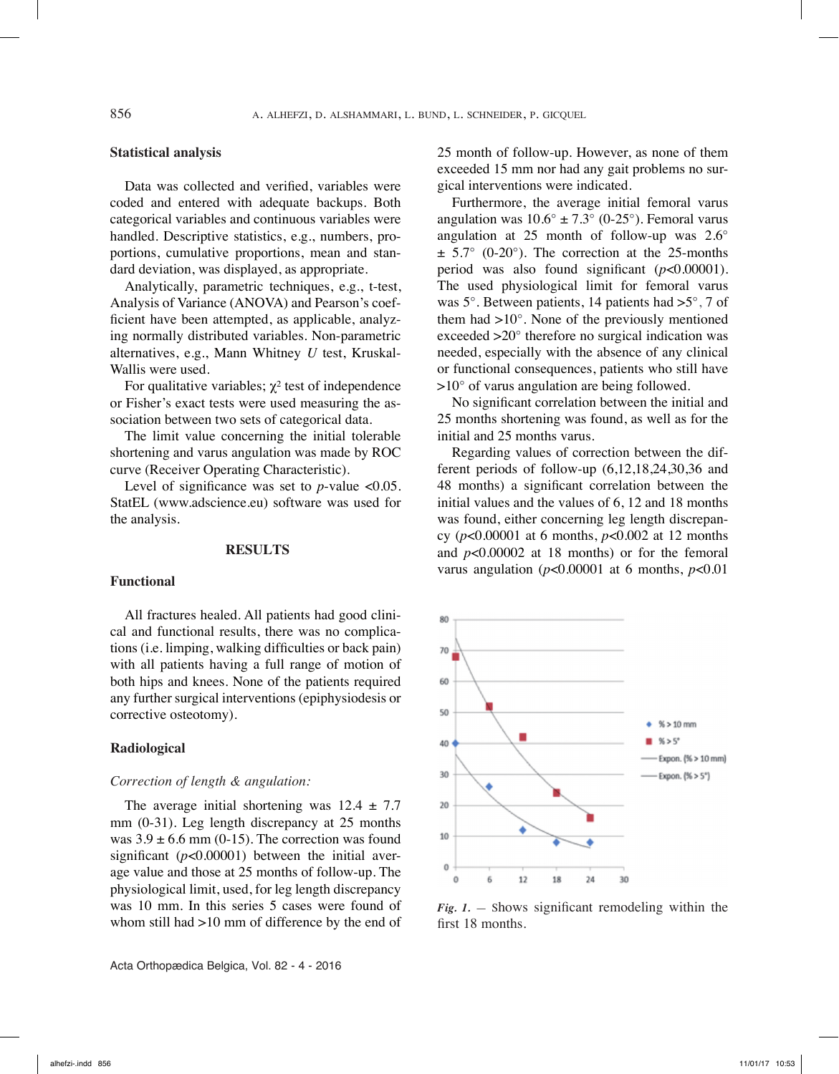# **Statistical analysis**

Data was collected and verified, variables were coded and entered with adequate backups. Both categorical variables and continuous variables were handled. Descriptive statistics, e.g., numbers, proportions, cumulative proportions, mean and standard deviation, was displayed, as appropriate.

Analytically, parametric techniques, e.g., t-test, Analysis of Variance (ANOVA) and Pearson's coefficient have been attempted, as applicable, analyzing normally distributed variables. Non-parametric alternatives, e.g., Mann Whitney *U* test, Kruskal-Wallis were used.

For qualitative variables;  $\chi^2$  test of independence or Fisher's exact tests were used measuring the association between two sets of categorical data.

The limit value concerning the initial tolerable shortening and varus angulation was made by ROC curve (Receiver Operating Characteristic).

Level of significance was set to  $p$ -value <0.05. StatEL (www.adscience.eu) software was used for the analysis.

#### **Results**

#### **Functional**

All fractures healed. All patients had good clinical and functional results, there was no complications (i.e. limping, walking difficulties or back pain) with all patients having a full range of motion of both hips and knees. None of the patients required any further surgical interventions (epiphysiodesis or corrective osteotomy).

## **Radiological**

#### *Correction of length & angulation:*

The average initial shortening was  $12.4 \pm 7.7$ mm (0-31). Leg length discrepancy at 25 months was  $3.9 \pm 6.6$  mm (0-15). The correction was found significant (*p*<0.00001) between the initial average value and those at 25 months of follow-up. The physiological limit, used, for leg length discrepancy was 10 mm. In this series 5 cases were found of whom still had >10 mm of difference by the end of

Acta Orthopædica Belgica, Vol. 82 - 4 - 2016

25 month of follow-up. However, as none of them exceeded 15 mm nor had any gait problems no surgical interventions were indicated.

Furthermore, the average initial femoral varus angulation was  $10.6^{\circ} \pm 7.3^{\circ}$  (0-25°). Femoral varus angulation at 25 month of follow-up was 2.6°  $\pm$  5.7° (0-20°). The correction at the 25-months period was also found significant (*p*<0.00001). The used physiological limit for femoral varus was 5°. Between patients, 14 patients had >5°, 7 of them had  $>10^\circ$ . None of the previously mentioned exceeded >20° therefore no surgical indication was needed, especially with the absence of any clinical or functional consequences, patients who still have >10° of varus angulation are being followed.

No significant correlation between the initial and 25 months shortening was found, as well as for the initial and 25 months varus.

Regarding values of correction between the different periods of follow-up (6,12,18,24,30,36 and 48 months) a significant correlation between the initial values and the values of 6, 12 and 18 months was found, either concerning leg length discrepancy (*p*<0.00001 at 6 months, *p*<0.002 at 12 months and *p*<0.00002 at 18 months) or for the femoral varus angulation (*p*<0.00001 at 6 months, *p*<0.01



*Fig. 1.* — Shows significant remodeling within the first 18 months.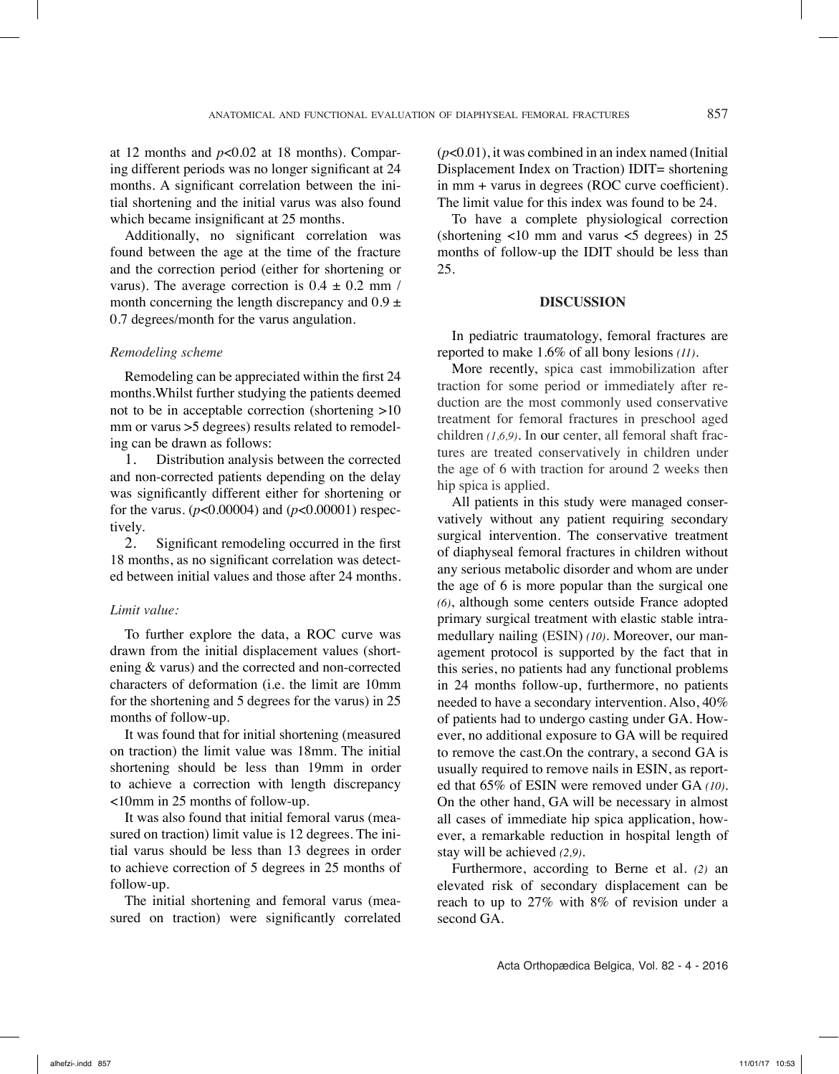at 12 months and *p*<0.02 at 18 months). Comparing different periods was no longer significant at 24 months. A significant correlation between the initial shortening and the initial varus was also found which became insignificant at 25 months.

Additionally, no significant correlation was found between the age at the time of the fracture and the correction period (either for shortening or varus). The average correction is  $0.4 \pm 0.2$  mm / month concerning the length discrepancy and  $0.9 \pm$ 0.7 degrees/month for the varus angulation.

### *Remodeling scheme*

Remodeling can be appreciated within the first 24 months.Whilst further studying the patients deemed not to be in acceptable correction (shortening >10 mm or varus  $>5$  degrees) results related to remodeling can be drawn as follows:

1. Distribution analysis between the corrected and non-corrected patients depending on the delay was significantly different either for shortening or for the varus. (*p*<0.00004) and (*p*<0.00001) respectively.

2. Significant remodeling occurred in the first 18 months, as no significant correlation was detected between initial values and those after 24 months.

# *Limit value:*

To further explore the data, a ROC curve was drawn from the initial displacement values (shortening & varus) and the corrected and non-corrected characters of deformation (i.e. the limit are 10mm for the shortening and 5 degrees for the varus) in 25 months of follow-up.

It was found that for initial shortening (measured on traction) the limit value was 18mm. The initial shortening should be less than 19mm in order to achieve a correction with length discrepancy <10mm in 25 months of follow-up.

It was also found that initial femoral varus (measured on traction) limit value is 12 degrees. The initial varus should be less than 13 degrees in order to achieve correction of 5 degrees in 25 months of follow-up.

The initial shortening and femoral varus (measured on traction) were significantly correlated

 $(p<0.01)$ , it was combined in an index named (Initial Displacement Index on Traction) IDIT= shortening in mm + varus in degrees (ROC curve coefficient). The limit value for this index was found to be 24.

To have a complete physiological correction (shortening  $\langle 10 \text{ mm}$  and varus  $\langle 5 \text{ degrees} \rangle$  in 25 months of follow-up the IDIT should be less than 25.

#### **DISCUSSION**

In pediatric traumatology, femoral fractures are reported to make 1.6% of all bony lesions *(11)*.

More recently, spica cast immobilization after traction for some period or immediately after reduction are the most commonly used conservative treatment for femoral fractures in preschool aged children *(1,6,9)*. In our center, all femoral shaft fractures are treated conservatively in children under the age of 6 with traction for around 2 weeks then hip spica is applied.

All patients in this study were managed conservatively without any patient requiring secondary surgical intervention. The conservative treatment of diaphyseal femoral fractures in children without any serious metabolic disorder and whom are under the age of 6 is more popular than the surgical one *(6)*, although some centers outside France adopted primary surgical treatment with elastic stable intramedullary nailing (ESIN) *(10)*. Moreover, our management protocol is supported by the fact that in this series, no patients had any functional problems in 24 months follow-up, furthermore, no patients needed to have a secondary intervention. Also, 40% of patients had to undergo casting under GA. However, no additional exposure to GA will be required to remove the cast.On the contrary, a second GA is usually required to remove nails in ESIN, as reported that 65% of ESIN were removed under GA *(10)*. On the other hand, GA will be necessary in almost all cases of immediate hip spica application, however, a remarkable reduction in hospital length of stay will be achieved *(2,9)*.

Furthermore, according to Berne et al. *(2)* an elevated risk of secondary displacement can be reach to up to 27% with 8% of revision under a second GA.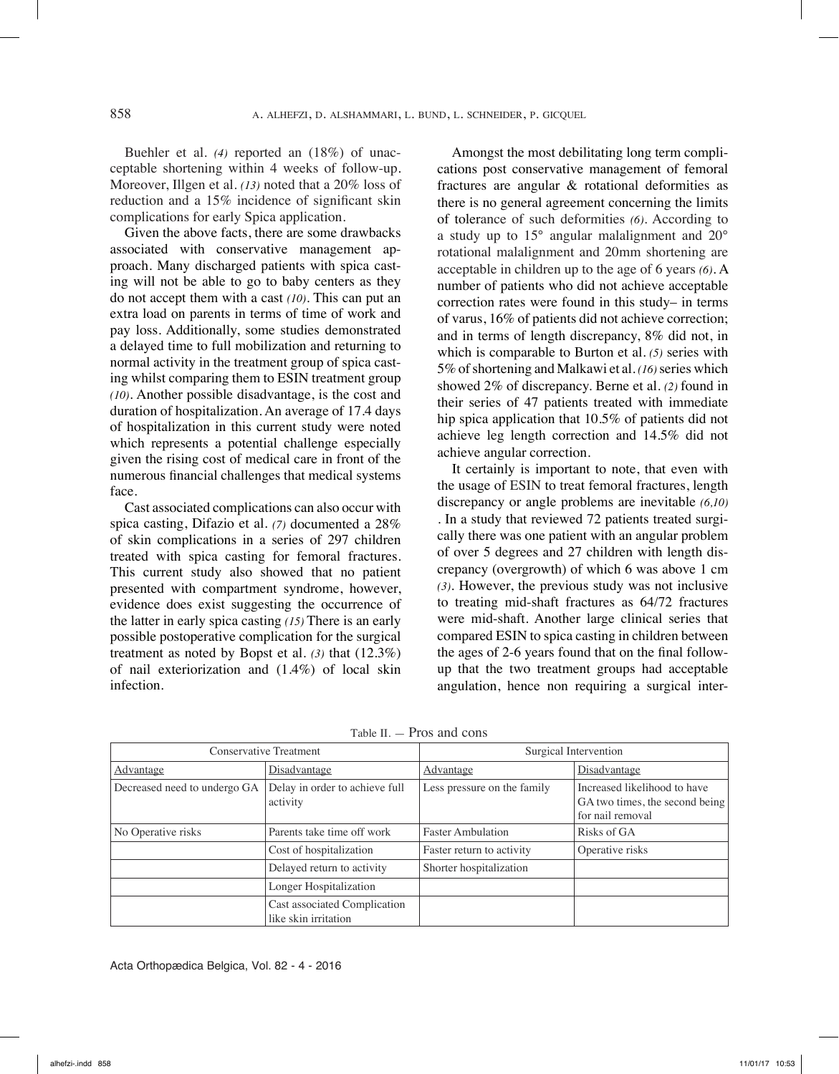Buehler et al. *(4)* reported an (18%) of unacceptable shortening within 4 weeks of follow-up. Moreover, Illgen et al. *(13)* noted that a 20% loss of reduction and a 15% incidence of significant skin complications for early Spica application.

Given the above facts, there are some drawbacks associated with conservative management approach. Many discharged patients with spica casting will not be able to go to baby centers as they do not accept them with a cast *(10)*. This can put an extra load on parents in terms of time of work and pay loss. Additionally, some studies demonstrated a delayed time to full mobilization and returning to normal activity in the treatment group of spica casting whilst comparing them to ESIN treatment group *(10)*. Another possible disadvantage, is the cost and duration of hospitalization. An average of 17.4 days of hospitalization in this current study were noted which represents a potential challenge especially given the rising cost of medical care in front of the numerous financial challenges that medical systems face.

Cast associated complications can also occur with spica casting, Difazio et al. *(7)* documented a 28% of skin complications in a series of 297 children treated with spica casting for femoral fractures. This current study also showed that no patient presented with compartment syndrome, however, evidence does exist suggesting the occurrence of the latter in early spica casting *(15)* There is an early possible postoperative complication for the surgical treatment as noted by Bopst et al. *(3)* that (12.3%) of nail exteriorization and (1.4%) of local skin infection.

Amongst the most debilitating long term complications post conservative management of femoral fractures are angular & rotational deformities as there is no general agreement concerning the limits of tolerance of such deformities *(6)*. According to a study up to 15° angular malalignment and 20° rotational malalignment and 20mm shortening are acceptable in children up to the age of 6 years *(6)*. A number of patients who did not achieve acceptable correction rates were found in this study– in terms of varus, 16% of patients did not achieve correction; and in terms of length discrepancy, 8% did not, in which is comparable to Burton et al. *(5)* series with 5% of shortening and Malkawi et al. *(16)* series which showed 2% of discrepancy. Berne et al. *(2)* found in their series of 47 patients treated with immediate hip spica application that 10.5% of patients did not achieve leg length correction and 14.5% did not achieve angular correction.

It certainly is important to note, that even with the usage of ESIN to treat femoral fractures, length discrepancy or angle problems are inevitable *(6,10)* . In a study that reviewed 72 patients treated surgically there was one patient with an angular problem of over 5 degrees and 27 children with length discrepancy (overgrowth) of which 6 was above 1 cm *(3)*. However, the previous study was not inclusive to treating mid-shaft fractures as 64/72 fractures were mid-shaft. Another large clinical series that compared ESIN to spica casting in children between the ages of 2-6 years found that on the final followup that the two treatment groups had acceptable angulation, hence non requiring a surgical inter-

| Conservative Treatment       |                                                      | Surgical Intervention       |                                                                                    |  |
|------------------------------|------------------------------------------------------|-----------------------------|------------------------------------------------------------------------------------|--|
| <u>Advantage</u>             | Disadvantage                                         | Advantage                   | Disadvantage                                                                       |  |
| Decreased need to undergo GA | Delay in order to achieve full<br>activity           | Less pressure on the family | Increased likelihood to have<br>GA two times, the second being<br>for nail removal |  |
| No Operative risks           | Parents take time off work                           | <b>Faster Ambulation</b>    | Risks of GA                                                                        |  |
|                              | Cost of hospitalization                              | Faster return to activity   | Operative risks                                                                    |  |
|                              | Delayed return to activity                           | Shorter hospitalization     |                                                                                    |  |
|                              | Longer Hospitalization                               |                             |                                                                                    |  |
|                              | Cast associated Complication<br>like skin irritation |                             |                                                                                    |  |

Table II. — Pros and cons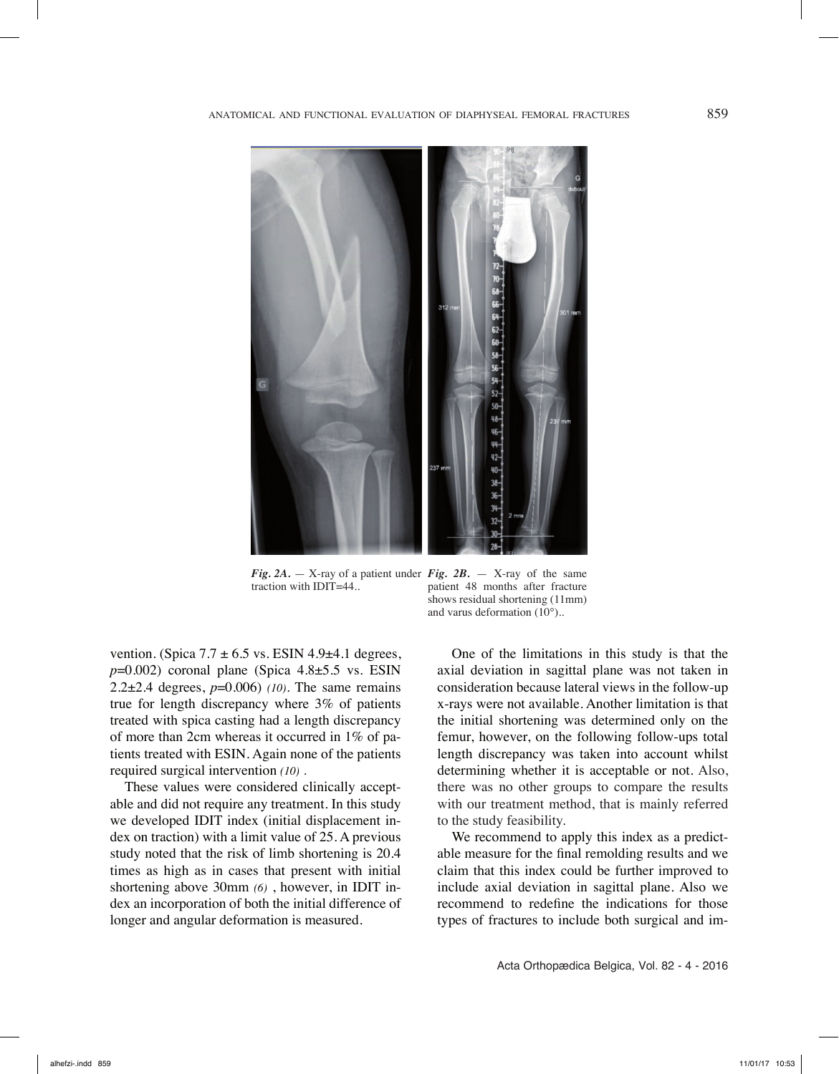

*Fig. 2A.* — X-ray of a patient under *Fig. 2B.* — X-ray of the same traction with IDIT=44.. patient 48 months after fracture shows residual shortening (11mm)

and varus deformation (10°)..

vention. (Spica  $7.7 \pm 6.5$  vs. ESIN 4.9 $\pm$ 4.1 degrees,  $p=0.002$ ) coronal plane (Spica  $4.8\pm5.5$  vs. ESIN 2.2±2.4 degrees, *p*=0.006) *(10)*. The same remains true for length discrepancy where 3% of patients treated with spica casting had a length discrepancy of more than 2cm whereas it occurred in 1% of patients treated with ESIN. Again none of the patients required surgical intervention *(10)* .

These values were considered clinically acceptable and did not require any treatment. In this study we developed IDIT index (initial displacement index on traction) with a limit value of 25. A previous study noted that the risk of limb shortening is 20.4 times as high as in cases that present with initial shortening above 30mm *(6)* , however, in IDIT index an incorporation of both the initial difference of longer and angular deformation is measured.

One of the limitations in this study is that the axial deviation in sagittal plane was not taken in consideration because lateral views in the follow-up x-rays were not available. Another limitation is that the initial shortening was determined only on the femur, however, on the following follow-ups total length discrepancy was taken into account whilst determining whether it is acceptable or not. Also, there was no other groups to compare the results with our treatment method, that is mainly referred to the study feasibility.

We recommend to apply this index as a predictable measure for the final remolding results and we claim that this index could be further improved to include axial deviation in sagittal plane. Also we recommend to redefine the indications for those types of fractures to include both surgical and im-